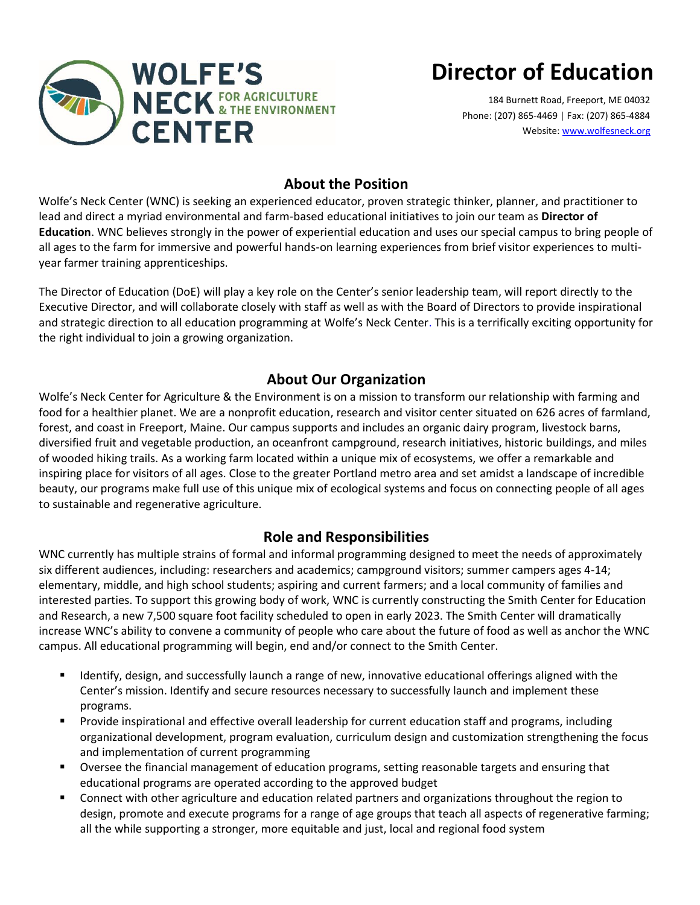

# **Director of Education**

184 Burnett Road, Freeport, ME 04032 Phone: (207) 865-4469 | Fax: (207) 865-4884 Website[: www.wolfesneck.org](http://www.wolfesneck.org/)

# **About the Position**

Wolfe's Neck Center (WNC) is seeking an experienced educator, proven strategic thinker, planner, and practitioner to lead and direct a myriad environmental and farm-based educational initiatives to join our team as **Director of Education**. WNC believes strongly in the power of experiential education and uses our special campus to bring people of all ages to the farm for immersive and powerful hands-on learning experiences from brief visitor experiences to multiyear farmer training apprenticeships.

The Director of Education (DoE) will play a key role on the Center's senior leadership team, will report directly to the Executive Director, and will collaborate closely with staff as well as with the Board of Directors to provide inspirational and strategic direction to all education programming at Wolfe's Neck Center. This is a terrifically exciting opportunity for the right individual to join a growing organization.

### **About Our Organization**

Wolfe's Neck Center for Agriculture & the Environment is on a mission to transform our relationship with farming and food for a healthier planet. We are a nonprofit education, research and visitor center situated on 626 acres of farmland, forest, and coast in Freeport, Maine. Our campus supports and includes an organic dairy program, livestock barns, diversified fruit and vegetable production, an oceanfront campground, research initiatives, historic buildings, and miles of wooded hiking trails. As a working farm located within a unique mix of ecosystems, we offer a remarkable and inspiring place for visitors of all ages. Close to the greater Portland metro area and set amidst a landscape of incredible beauty, our programs make full use of this unique mix of ecological systems and focus on connecting people of all ages to sustainable and regenerative agriculture.

### **Role and Responsibilities**

WNC currently has multiple strains of formal and informal programming designed to meet the needs of approximately six different audiences, including: researchers and academics; campground visitors; summer campers ages 4-14; elementary, middle, and high school students; aspiring and current farmers; and a local community of families and interested parties. To support this growing body of work, WNC is currently constructing the Smith Center for Education and Research, a new 7,500 square foot facility scheduled to open in early 2023. The Smith Center will dramatically increase WNC's ability to convene a community of people who care about the future of food as well as anchor the WNC campus. All educational programming will begin, end and/or connect to the Smith Center.

- Identify, design, and successfully launch a range of new, innovative educational offerings aligned with the Center's mission. Identify and secure resources necessary to successfully launch and implement these programs.
- Provide inspirational and effective overall leadership for current education staff and programs, including organizational development, program evaluation, curriculum design and customization strengthening the focus and implementation of current programming
- Oversee the financial management of education programs, setting reasonable targets and ensuring that educational programs are operated according to the approved budget
- Connect with other agriculture and education related partners and organizations throughout the region to design, promote and execute programs for a range of age groups that teach all aspects of regenerative farming; all the while supporting a stronger, more equitable and just, local and regional food system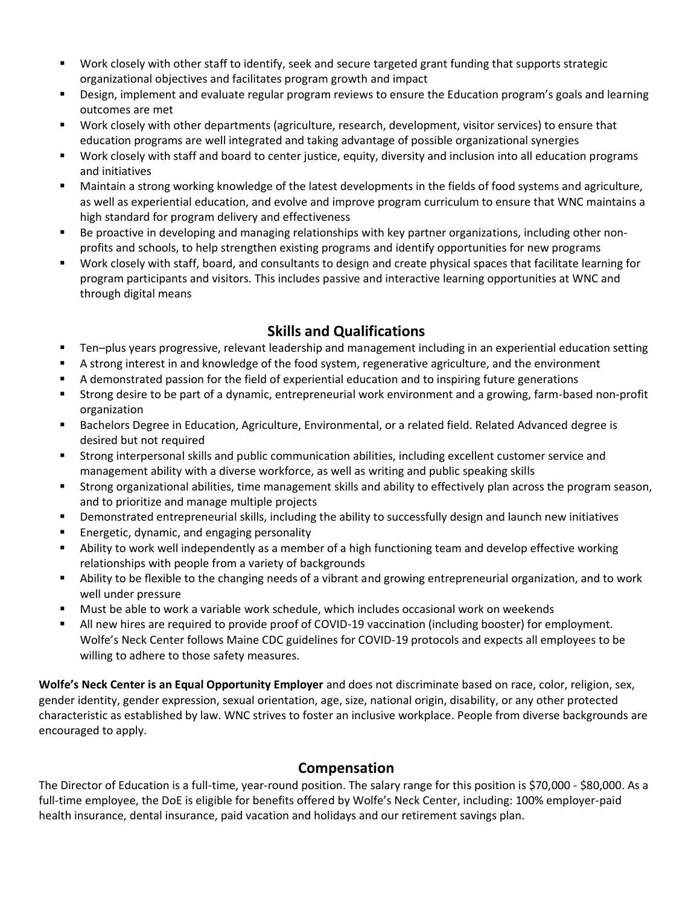- Work closely with other staff to identify, seek and secure targeted grant funding that supports strategic organizational objectives and facilitates program growth and impact
- Design, implement and evaluate regular program reviews to ensure the Education program's goals and learning outcomes are met
- Work closely with other departments (agriculture, research, development, visitor services) to ensure that education programs are well integrated and taking advantage of possible organizational synergies
- Work closely with staff and board to center justice, equity, diversity and inclusion into all education programs and initiatives
- Maintain a strong working knowledge of the latest developments in the fields of food systems and agriculture, as well as experiential education, and evolve and improve program curriculum to ensure that WNC maintains a high standard for program delivery and effectiveness
- Be proactive in developing and managing relationships with key partner organizations, including other nonprofits and schools, to help strengthen existing programs and identify opportunities for new programs
- Work closely with staff, board, and consultants to design and create physical spaces that facilitate learning for program participants and visitors. This includes passive and interactive learning opportunities at WNC and through digital means

### **Skills and Qualifications**

- Ten–plus years progressive, relevant leadership and management including in an experiential education setting
- A strong interest in and knowledge of the food system, regenerative agriculture, and the environment
- A demonstrated passion for the field of experiential education and to inspiring future generations
- Strong desire to be part of a dynamic, entrepreneurial work environment and a growing, farm-based non-profit organization
- Bachelors Degree in Education, Agriculture, Environmental, or a related field. Related Advanced degree is desired but not required
- Strong interpersonal skills and public communication abilities, including excellent customer service and management ability with a diverse workforce, as well as writing and public speaking skills
- Strong organizational abilities, time management skills and ability to effectively plan across the program season, and to prioritize and manage multiple projects
- Demonstrated entrepreneurial skills, including the ability to successfully design and launch new initiatives
- Energetic, dynamic, and engaging personality
- **E** Ability to work well independently as a member of a high functioning team and develop effective working relationships with people from a variety of backgrounds
- Ability to be flexible to the changing needs of a vibrant and growing entrepreneurial organization, and to work well under pressure
- Must be able to work a variable work schedule, which includes occasional work on weekends
- All new hires are required to provide proof of COVID-19 vaccination (including booster) for employment. Wolfe's Neck Center follows Maine CDC guidelines for COVID-19 protocols and expects all employees to be willing to adhere to those safety measures.

**Wolfe's Neck Center is an Equal Opportunity Employer** and does not discriminate based on race, color, religion, sex, gender identity, gender expression, sexual orientation, age, size, national origin, disability, or any other protected characteristic as established by law. WNC strives to foster an inclusive workplace. People from diverse backgrounds are encouraged to apply.

#### **Compensation**

The Director of Education is a full-time, year-round position. The salary range for this position is \$70,000 - \$80,000. As a full-time employee, the DoE is eligible for benefits offered by Wolfe's Neck Center, including: 100% employer-paid health insurance, dental insurance, paid vacation and holidays and our retirement savings plan.